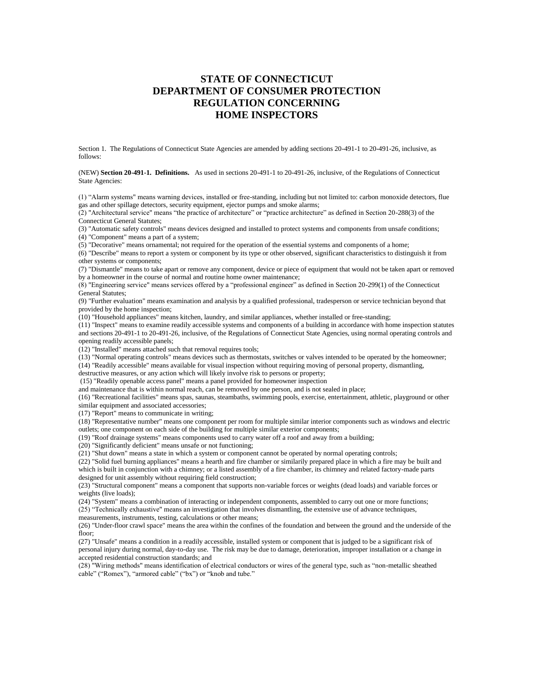# **STATE OF CONNECTICUT DEPARTMENT OF CONSUMER PROTECTION REGULATION CONCERNING HOME INSPECTORS**

Section 1. The Regulations of Connecticut State Agencies are amended by adding sections 20-491-1 to 20-491-26, inclusive, as follows:

(NEW) **Section 20-491-1. Definitions.** As used in sections 20-491-1 to 20-491-26, inclusive, of the Regulations of Connecticut State Agencies:

(1) "Alarm systems" means warning devices, installed or free-standing, including but not limited to: carbon monoxide detectors, flue gas and other spillage detectors, security equipment, ejector pumps and smoke alarms;

(2) "Architectural service" means "the practice of architecture" or "practice architecture" as defined in Section 20-288(3) of the Connecticut General Statutes;

(3) "Automatic safety controls" means devices designed and installed to protect systems and components from unsafe conditions;

(4) "Component" means a part of a system;

(5) "Decorative" means ornamental; not required for the operation of the essential systems and components of a home;

(6) "Describe" means to report a system or component by its type or other observed, significant characteristics to distinguish it from other systems or components;

(7) "Dismantle" means to take apart or remove any component, device or piece of equipment that would not be taken apart or removed by a homeowner in the course of normal and routine home owner maintenance;

(8) "Engineering service" means services offered by a "professional engineer" as defined in Section 20-299(1) of the Connecticut General Statutes;

(9) "Further evaluation" means examination and analysis by a qualified professional, tradesperson or service technician beyond that provided by the home inspection;

(10) "Household appliances" means kitchen, laundry, and similar appliances, whether installed or free-standing;

(11) "Inspect" means to examine readily accessible systems and components of a building in accordance with home inspection statutes and sections 20-491-1 to 20-491-26, inclusive, of the Regulations of Connecticut State Agencies, using normal operating controls and opening readily accessible panels;

(12) "Installed" means attached such that removal requires tools;

(13) "Normal operating controls" means devices such as thermostats, switches or valves intended to be operated by the homeowner;

(14) "Readily accessible" means available for visual inspection without requiring moving of personal property, dismantling,

destructive measures, or any action which will likely involve risk to persons or property;

(15) "Readily openable access panel" means a panel provided for homeowner inspection

and maintenance that is within normal reach, can be removed by one person, and is not sealed in place;

(16) "Recreational facilities" means spas, saunas, steambaths, swimming pools, exercise, entertainment, athletic, playground or other similar equipment and associated accessories:

(17) "Report" means to communicate in writing;

(18) "Representative number" means one component per room for multiple similar interior components such as windows and electric outlets; one component on each side of the building for multiple similar exterior components;

(19) "Roof drainage systems" means components used to carry water off a roof and away from a building;

(20) "Significantly deficient" means unsafe or not functioning;

(21) "Shut down" means a state in which a system or component cannot be operated by normal operating controls;

(22) "Solid fuel burning appliances" means a hearth and fire chamber or similarily prepared place in which a fire may be built and which is built in conjunction with a chimney; or a listed assembly of a fire chamber, its chimney and related factory-made parts designed for unit assembly without requiring field construction;

(23) "Structural component" means a component that supports non-variable forces or weights (dead loads) and variable forces or weights (live loads);

(24) "System" means a combination of interacting or independent components, assembled to carry out one or more functions;

(25) "Technically exhaustive" means an investigation that involves dismantling, the extensive use of advance techniques,

measurements, instruments, testing, calculations or other means;

(26) "Under-floor crawl space" means the area within the confines of the foundation and between the ground and the underside of the floor;

(27) "Unsafe" means a condition in a readily accessible, installed system or component that is judged to be a significant risk of personal injury during normal, day-to-day use. The risk may be due to damage, deterioration, improper installation or a change in accepted residential construction standards; and

(28) "Wiring methods" means identification of electrical conductors or wires of the general type, such as "non-metallic sheathed cable" ("Romex"), "armored cable" ("bx") or "knob and tube."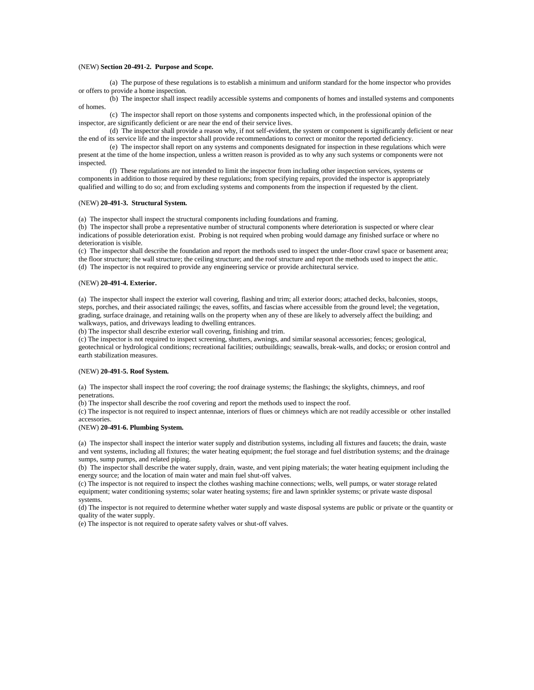### (NEW) **Section 20-491-2. Purpose and Scope.**

(a) The purpose of these regulations is to establish a minimum and uniform standard for the home inspector who provides or offers to provide a home inspection.

(b) The inspector shall inspect readily accessible systems and components of homes and installed systems and components of homes.

(c) The inspector shall report on those systems and components inspected which, in the professional opinion of the inspector, are significantly deficient or are near the end of their service lives.

(d) The inspector shall provide a reason why, if not self-evident, the system or component is significantly deficient or near the end of its service life and the inspector shall provide recommendations to correct or monitor the reported deficiency.

(e) The inspector shall report on any systems and components designated for inspection in these regulations which were present at the time of the home inspection, unless a written reason is provided as to why any such systems or components were not inspected.

(f) These regulations are not intended to limit the inspector from including other inspection services, systems or components in addition to those required by these regulations; from specifying repairs, provided the inspector is appropriately qualified and willing to do so; and from excluding systems and components from the inspection if requested by the client.

### (NEW) **20-491-3. Structural System.**

(a) The inspector shall inspect the structural components including foundations and framing.

(b) The inspector shall probe a representative number of structural components where deterioration is suspected or where clear indications of possible deterioration exist. Probing is not required when probing would damage any finished surface or where no deterioration is visible.

(c) The inspector shall describe the foundation and report the methods used to inspect the under-floor crawl space or basement area; the floor structure; the wall structure; the ceiling structure; and the roof structure and report the methods used to inspect the attic. (d) The inspector is not required to provide any engineering service or provide architectural service.

# (NEW) **20-491-4. Exterior.**

(a) The inspector shall inspect the exterior wall covering, flashing and trim; all exterior doors; attached decks, balconies, stoops, steps, porches, and their associated railings; the eaves, soffits, and fascias where accessible from the ground level; the vegetation, grading, surface drainage, and retaining walls on the property when any of these are likely to adversely affect the building; and walkways, patios, and driveways leading to dwelling entrances.

(b) The inspector shall describe exterior wall covering, finishing and trim.

(c) The inspector is not required to inspect screening, shutters, awnings, and similar seasonal accessories; fences; geological, geotechnical or hydrological conditions; recreational facilities; outbuildings; seawalls, break-walls, and docks; or erosion control and earth stabilization measures.

# (NEW) **20-491-5. Roof System.**

(a) The inspector shall inspect the roof covering; the roof drainage systems; the flashings; the skylights, chimneys, and roof penetrations.

(b) The inspector shall describe the roof covering and report the methods used to inspect the roof.

(c) The inspector is not required to inspect antennae, interiors of flues or chimneys which are not readily accessible or other installed accessories.

### (NEW) **20-491-6. Plumbing System.**

(a) The inspector shall inspect the interior water supply and distribution systems, including all fixtures and faucets; the drain, waste and vent systems, including all fixtures; the water heating equipment; the fuel storage and fuel distribution systems; and the drainage sumps, sump pumps, and related piping.

(b) The inspector shall describe the water supply, drain, waste, and vent piping materials; the water heating equipment including the energy source; and the location of main water and main fuel shut-off valves.

(c) The inspector is not required to inspect the clothes washing machine connections; wells, well pumps, or water storage related equipment; water conditioning systems; solar water heating systems; fire and lawn sprinkler systems; or private waste disposal systems.

(d) The inspector is not required to determine whether water supply and waste disposal systems are public or private or the quantity or quality of the water supply.

(e) The inspector is not required to operate safety valves or shut-off valves.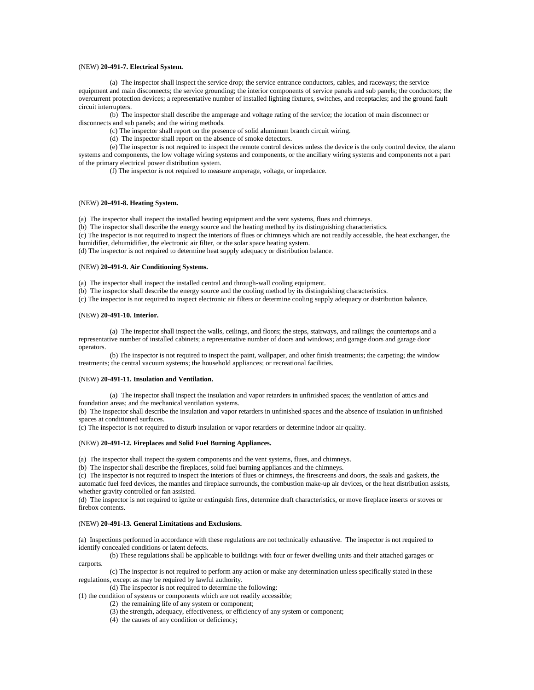## (NEW) **20-491-7. Electrical System.**

(a) The inspector shall inspect the service drop; the service entrance conductors, cables, and raceways; the service equipment and main disconnects; the service grounding; the interior components of service panels and sub panels; the conductors; the overcurrent protection devices; a representative number of installed lighting fixtures, switches, and receptacles; and the ground fault circuit interrupters.

(b) The inspector shall describe the amperage and voltage rating of the service; the location of main disconnect or disconnects and sub panels; and the wiring methods.

(c) The inspector shall report on the presence of solid aluminum branch circuit wiring.

(d) The inspector shall report on the absence of smoke detectors.

(e) The inspector is not required to inspect the remote control devices unless the device is the only control device, the alarm systems and components, the low voltage wiring systems and components, or the ancillary wiring systems and components not a part of the primary electrical power distribution system.

(f) The inspector is not required to measure amperage, voltage, or impedance.

# (NEW) **20-491-8. Heating System.**

(a) The inspector shall inspect the installed heating equipment and the vent systems, flues and chimneys.

(b) The inspector shall describe the energy source and the heating method by its distinguishing characteristics.

(c) The inspector is not required to inspect the interiors of flues or chimneys which are not readily accessible, the heat exchanger, the humidifier, dehumidifier, the electronic air filter, or the solar space heating system.

(d) The inspector is not required to determine heat supply adequacy or distribution balance.

# (NEW) **20-491-9. Air Conditioning Systems.**

(a) The inspector shall inspect the installed central and through-wall cooling equipment.

(b) The inspector shall describe the energy source and the cooling method by its distinguishing characteristics.

(c) The inspector is not required to inspect electronic air filters or determine cooling supply adequacy or distribution balance.

# (NEW) **20-491-10. Interior.**

(a) The inspector shall inspect the walls, ceilings, and floors; the steps, stairways, and railings; the countertops and a representative number of installed cabinets; a representative number of doors and windows; and garage doors and garage door operators.

(b) The inspector is not required to inspect the paint, wallpaper, and other finish treatments; the carpeting; the window treatments; the central vacuum systems; the household appliances; or recreational facilities.

### (NEW) **20-491-11. Insulation and Ventilation.**

(a) The inspector shall inspect the insulation and vapor retarders in unfinished spaces; the ventilation of attics and foundation areas; and the mechanical ventilation systems.

(b) The inspector shall describe the insulation and vapor retarders in unfinished spaces and the absence of insulation in unfinished spaces at conditioned surfaces.

(c) The inspector is not required to disturb insulation or vapor retarders or determine indoor air quality.

#### (NEW) **20-491-12. Fireplaces and Solid Fuel Burning Appliances.**

(a) The inspector shall inspect the system components and the vent systems, flues, and chimneys.

(b) The inspector shall describe the fireplaces, solid fuel burning appliances and the chimneys.

(c) The inspector is not required to inspect the interiors of flues or chimneys, the firescreens and doors, the seals and gaskets, the automatic fuel feed devices, the mantles and fireplace surrounds, the combustion make-up air devices, or the heat distribution assists, whether gravity controlled or fan assisted.

(d) The inspector is not required to ignite or extinguish fires, determine draft characteristics, or move fireplace inserts or stoves or firebox contents.

# (NEW) **20-491-13. General Limitations and Exclusions.**

(a) Inspections performed in accordance with these regulations are not technically exhaustive. The inspector is not required to identify concealed conditions or latent defects.

(b) These regulations shall be applicable to buildings with four or fewer dwelling units and their attached garages or carports.

(c) The inspector is not required to perform any action or make any determination unless specifically stated in these regulations, except as may be required by lawful authority.

(d) The inspector is not required to determine the following:

(1) the condition of systems or components which are not readily accessible;

(2) the remaining life of any system or component;

(3) the strength, adequacy, effectiveness, or efficiency of any system or component;

(4) the causes of any condition or deficiency;